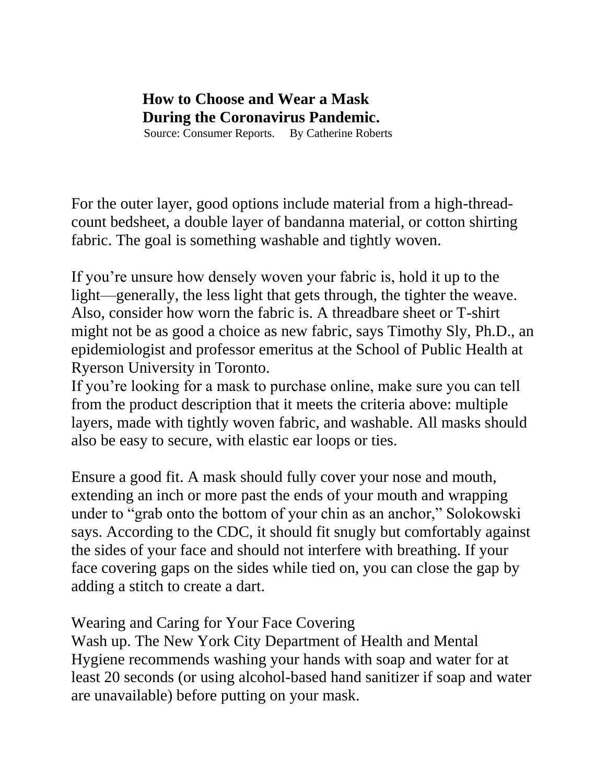## **How to Choose and Wear a Mask During the Coronavirus Pandemic.**  Source: Consumer Reports. By Catherine Roberts

For the outer layer, good options include material from a high-threadcount bedsheet, a double layer of bandanna material, or cotton shirting fabric. The goal is something washable and tightly woven.

If you're unsure how densely woven your fabric is, hold it up to the light—generally, the less light that gets through, the tighter the weave. Also, consider how worn the fabric is. A threadbare sheet or T-shirt might not be as good a choice as new fabric, says Timothy Sly, Ph.D., an epidemiologist and professor emeritus at the School of Public Health at Ryerson University in Toronto.

If you're looking for a mask to purchase online, make sure you can tell from the product description that it meets the criteria above: multiple layers, made with tightly woven fabric, and washable. All masks should also be easy to secure, with elastic ear loops or ties.

Ensure a good fit. A mask should fully cover your nose and mouth, extending an inch or more past the ends of your mouth and wrapping under to "grab onto the bottom of your chin as an anchor," Solokowski says. According to the CDC, it should fit snugly but comfortably against the sides of your face and should not interfere with breathing. If your face covering gaps on the sides while tied on, you can close the gap by adding a stitch to create a dart.

## Wearing and Caring for Your Face Covering

Wash up. The New York City Department of Health and Mental Hygiene recommends washing your hands with soap and water for at least 20 seconds (or using alcohol-based hand sanitizer if soap and water are unavailable) before putting on your mask.